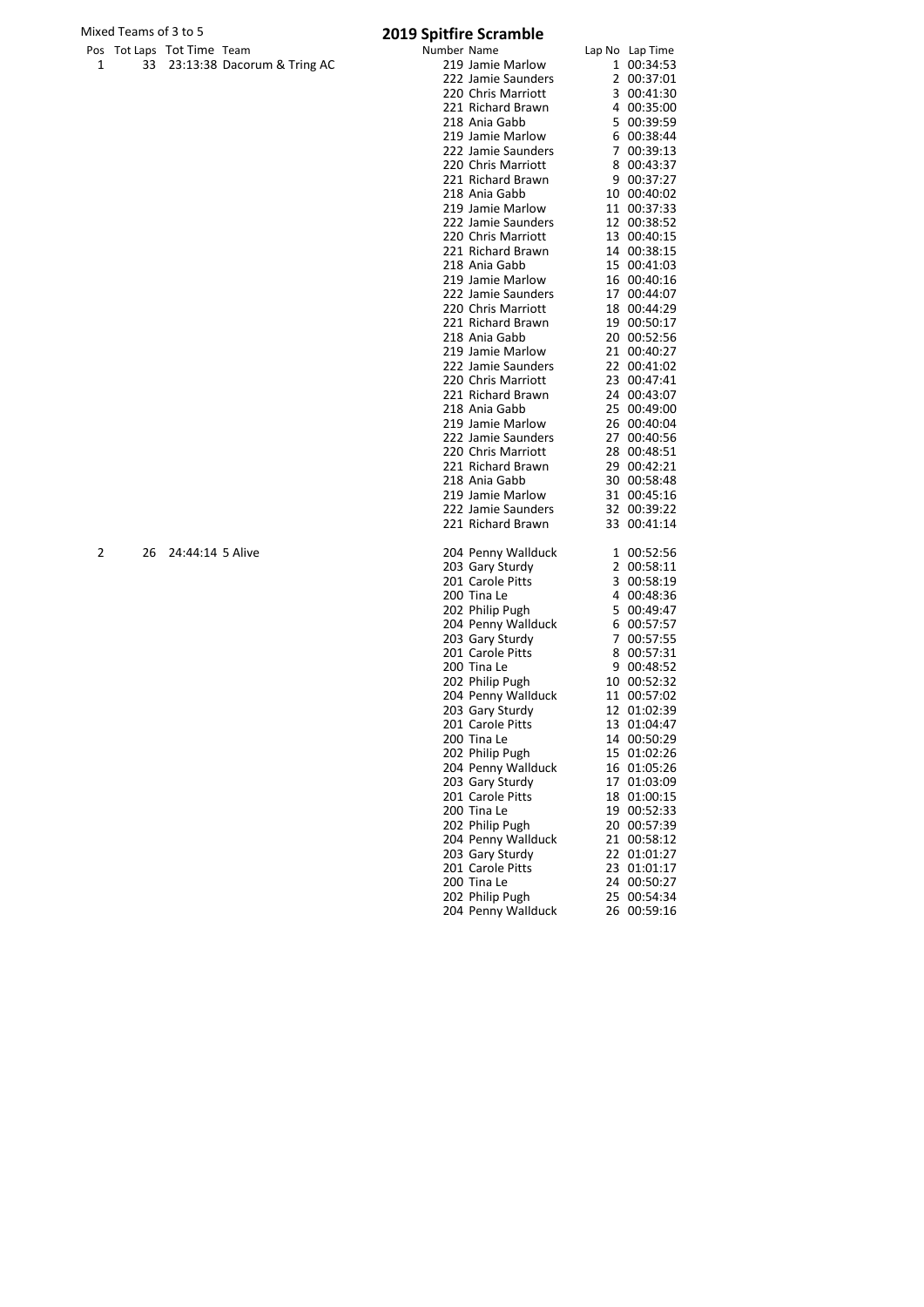# Mixed Teams of 3 to 5<br>
Pos Tot Laps Tot Time Team **1988** 2019 Spitfire Scramble

|   |    | Pos Tot Laps Tot Time Team |                             | Number Name |                    | Lap No Lap Time |
|---|----|----------------------------|-----------------------------|-------------|--------------------|-----------------|
| 1 | 33 |                            | 23:13:38 Dacorum & Tring AC |             | 219 Jamie Marlow   | 1 00:34:53      |
|   |    |                            |                             |             | 222 Jamie Saunders | 2 00:37:01      |
|   |    |                            |                             |             | 220 Chris Marriott | 3 00:41:30      |
|   |    |                            |                             |             | 221 Richard Brawn  | 4 00:35:00      |
|   |    |                            |                             |             | 218 Ania Gabb      | 5 00:39:59      |
|   |    |                            |                             |             | 219 Jamie Marlow   | 6 00:38:44      |
|   |    |                            |                             |             | 222 Jamie Saunders | 7 00:39:13      |
|   |    |                            |                             |             | 220 Chris Marriott | 8 00:43:37      |
|   |    |                            |                             |             | 221 Richard Brawn  | 9 00:37:27      |
|   |    |                            |                             |             | 218 Ania Gabb      | 10 00:40:02     |
|   |    |                            |                             |             | 219 Jamie Marlow   | 11 00:37:33     |
|   |    |                            |                             |             | 222 Jamie Saunders | 12 00:38:52     |
|   |    |                            |                             |             | 220 Chris Marriott | 13 00:40:15     |
|   |    |                            |                             |             | 221 Richard Brawn  | 14 00:38:15     |
|   |    |                            |                             |             | 218 Ania Gabb      | 15 00:41:03     |
|   |    |                            |                             |             | 219 Jamie Marlow   | 16 00:40:16     |
|   |    |                            |                             |             | 222 Jamie Saunders | 17 00:44:07     |
|   |    |                            |                             |             | 220 Chris Marriott | 18 00:44:29     |
|   |    |                            |                             |             | 221 Richard Brawn  | 19 00:50:17     |
|   |    |                            |                             |             |                    |                 |
|   |    |                            |                             |             | 218 Ania Gabb      | 20 00:52:56     |
|   |    |                            |                             |             | 219 Jamie Marlow   | 21 00:40:27     |
|   |    |                            |                             |             | 222 Jamie Saunders | 22 00:41:02     |
|   |    |                            |                             |             | 220 Chris Marriott | 23 00:47:41     |
|   |    |                            |                             |             | 221 Richard Brawn  | 24 00:43:07     |
|   |    |                            |                             |             | 218 Ania Gabb      | 25 00:49:00     |
|   |    |                            |                             |             | 219 Jamie Marlow   | 26 00:40:04     |
|   |    |                            |                             |             | 222 Jamie Saunders | 27 00:40:56     |
|   |    |                            |                             |             | 220 Chris Marriott | 28 00:48:51     |
|   |    |                            |                             |             | 221 Richard Brawn  | 29 00:42:21     |
|   |    |                            |                             |             | 218 Ania Gabb      | 30 00:58:48     |
|   |    |                            |                             |             | 219 Jamie Marlow   | 31 00:45:16     |
|   |    |                            |                             |             | 222 Jamie Saunders | 32 00:39:22     |
|   |    |                            |                             |             | 221 Richard Brawn  | 33 00:41:14     |
| 2 | 26 | 24:44:14 5 Alive           |                             |             | 204 Penny Wallduck | 1 00:52:56      |
|   |    |                            |                             |             | 203 Gary Sturdy    | 2 00:58:11      |
|   |    |                            |                             |             | 201 Carole Pitts   | 3 00:58:19      |
|   |    |                            |                             |             | 200 Tina Le        | 4 00:48:36      |
|   |    |                            |                             |             | 202 Philip Pugh    | 5 00:49:47      |
|   |    |                            |                             |             | 204 Penny Wallduck | 6 00:57:57      |
|   |    |                            |                             |             | 203 Gary Sturdy    | 7 00:57:55      |
|   |    |                            |                             |             | 201 Carole Pitts   | 8 00:57:31      |
|   |    |                            |                             |             | 200 Tina Le        | 9 00:48:52      |
|   |    |                            |                             |             | 202 Philip Pugh    | 10 00:52:32     |
|   |    |                            |                             |             | 204 Penny Wallduck | 11 00:57:02     |
|   |    |                            |                             |             | 203 Gary Sturdy    | 12 01:02:39     |
|   |    |                            |                             |             | 201 Carole Pitts   | 13 01:04:47     |
|   |    |                            |                             |             |                    |                 |
|   |    |                            |                             |             | 200 Tina Le        | 14 00:50:29     |
|   |    |                            |                             |             | 202 Philip Pugh    | 15 01:02:26     |
|   |    |                            |                             |             | 204 Penny Wallduck | 16 01:05:26     |
|   |    |                            |                             |             | 203 Gary Sturdy    | 17 01:03:09     |
|   |    |                            |                             |             | 201 Carole Pitts   | 18 01:00:15     |
|   |    |                            |                             |             | 200 Tina Le        | 19 00:52:33     |
|   |    |                            |                             |             | 202 Philip Pugh    | 20 00:57:39     |
|   |    |                            |                             |             | 204 Penny Wallduck | 21 00:58:12     |
|   |    |                            |                             |             | 203 Gary Sturdy    | 22 01:01:27     |
|   |    |                            |                             |             | 201 Carole Pitts   | 23 01:01:17     |
|   |    |                            |                             |             | 200 Tina Le        | 24 00:50:27     |
|   |    |                            |                             |             | 202 Philip Pugh    | 25 00:54:34     |
|   |    |                            |                             |             | 204 Penny Wallduck | 26 00:59:16     |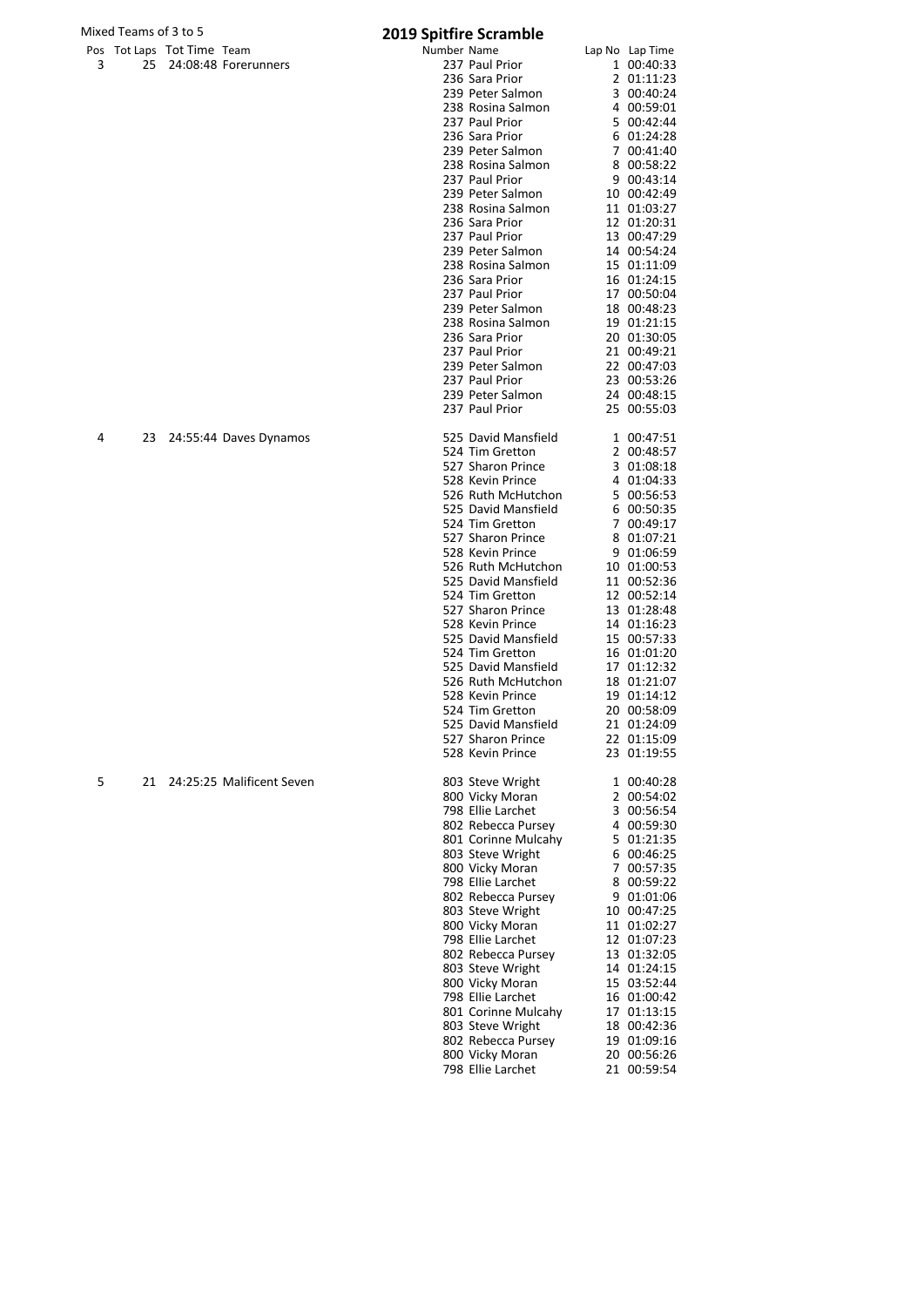# Mixed Teams of 3 to 5<br>
Pos Tot Laps Tot Time Team **2019 Spitfire Scramble**

238 Rosina Salmon 232 .....<br>237 Paul Prior 236 Sara Prior 239 Peter Salmon 238 Rosina Salmon<br>237 Paul Prior

237 Paul Prior 1 00:40:33<br>236 Sara Prior 2 01:11:23 236 Sara Prior 2 01:11:23<br>239 Peter Salmon 3 00:40:24

239 Peter Salmon 3 00:40:24<br>
238 Rosina Salmon 4 00:59:01<br>
237 Paul Prior 5 00:42:44<br>
236 Sara Prior 6 01:24:28<br>
239 Peter Salmon 7 00:41:40<br>
238 Rosina Salmon 8 00:58:22<br>
237 Paul Prior 9 00:43:14

 Paul Prior 9 00:43:14 Peter Salmon 10 00:42:49

|  |                            | <b>EUIS SPILING SCIGNING</b> |                 |
|--|----------------------------|------------------------------|-----------------|
|  | Pos Tot Laps Tot Time Team | Number Name                  | Lap No Lap Time |
|  | 25 24:08:48 Forerunners    | 237 Paul Prior               | 1 00:40:33      |

| 238 Rosina Salmon                         | 11               | 01:03:27 |  |
|-------------------------------------------|------------------|----------|--|
| 236 Sara Prior                            | 12               | 01:20:31 |  |
| 237 Paul Prior                            | 13               | 00:47:29 |  |
| 239 Peter Salmon                          | 14               | 00:54:24 |  |
| 238 Rosina Salmon                         | 15               | 01:11:09 |  |
| 236 Sara Prior                            | 16               | 01:24:15 |  |
| 237 Paul Prior                            | 17               | 00:50:04 |  |
| 239 Peter Salmon                          | 18               | 00:48:23 |  |
| 238 Rosina Salmon                         | 19               | 01:21:15 |  |
| 236 Sara Prior                            | 20               | 01:30:05 |  |
| 237 Paul Prior                            | 21               | 00:49:21 |  |
| 239 Peter Salmon                          | 22               | 00:47:03 |  |
| 237 Paul Prior                            | 23               | 00:53:26 |  |
| 239 Peter Salmon                          | 24               | 00:48:15 |  |
| 237 Paul Prior                            | 25               | 00:55:03 |  |
|                                           |                  |          |  |
| 525 David Mansfield                       | 1                | 00:47:51 |  |
| 524 Tim Gretton                           | 2                | 00:48:57 |  |
| 527 Sharon Prince                         | 3                | 01:08:18 |  |
| 528 Kevin Prince                          | 4                | 01:04:33 |  |
| 526 Ruth McHutchon                        | 5                | 00:56:53 |  |
| 525 David Mansfield                       | 6                | 00:50:35 |  |
| 524 Tim Gretton                           | 7                | 00:49:17 |  |
| 527 Sharon Prince                         |                  | 01:07:21 |  |
| 528 Kevin Prince                          | 8                |          |  |
|                                           | 9                | 01:06:59 |  |
| 526 Ruth McHutchon<br>525 David Mansfield | 10               | 01:00:53 |  |
|                                           | 11               | 00:52:36 |  |
| 524 Tim Gretton                           | 12 <sup>12</sup> | 00:52:14 |  |
| 527 Sharon Prince                         | 13               | 01:28:48 |  |
| 528 Kevin Prince                          | 14               | 01:16:23 |  |
| 525 David Mansfield                       | 15               | 00:57:33 |  |
| 524 Tim Gretton                           | 16               | 01:01:20 |  |
| 525 David Mansfield                       | 17               | 01:12:32 |  |
| 526 Ruth McHutchon                        | 18               | 01:21:07 |  |
| 528 Kevin Prince                          | 19               | 01:14:12 |  |
| 524 Tim Gretton                           | 20               | 00:58:09 |  |
| 525 David Mansfield                       | 21               | 01:24:09 |  |
| 527 Sharon Prince                         | 22               | 01:15:09 |  |
| 528 Kevin Prince                          | 23               | 01:19:55 |  |
| 803 Steve Wright                          | 1                | 00:40:28 |  |
| 800 Vicky Moran                           | $\mathbf{2}$     | 00:54:02 |  |
| 798 Ellie Larchet                         | 3                | 00:56:54 |  |
| 802 Rebecca Pursey                        | 4                | 00:59:30 |  |
| 801 Corinne Mulcahy                       | 5                | 01:21:35 |  |
| 803 Steve Wright                          | 6                | 00:46:25 |  |
| 800 Vicky Moran                           | 7                | 00:57:35 |  |
| 798 Ellie Larchet                         | 8                | 00:59:22 |  |
| 802 Rebecca Pursev                        | 9                | 01:01:06 |  |
| 803 Steve Wright                          | 10               | 00:47:25 |  |
| 800 Vicky Moran                           | 11               | 01:02:27 |  |
| 798 Ellie Larchet                         | 12               | 01:07:23 |  |
| 802 Rebecca Pursey                        | 13               | 01:32:05 |  |
| 803 Steve Wright                          | 14               | 01:24:15 |  |
| 800 Vicky Moran                           | 15               | 03:52:44 |  |
| 798 Ellie Larchet                         | 16               | 01:00:42 |  |
| 801 Corinne Mulcahy                       |                  |          |  |
|                                           | 17               | 01:13:15 |  |
| 803 Steve Wright                          | 18               | 00:42:36 |  |
| 802 Rebecca Pursey                        | 19               | 01:09:16 |  |
| 800 Vicky Moran                           | 20               | 00:56:26 |  |
| 798 Ellie Larchet                         | 21               | 00:59:54 |  |
|                                           |                  |          |  |
|                                           |                  |          |  |

4 23 24:55:44 Daves Dynamos 5<br>5

5 21 24:25:25 Malificent Seven 8<br>8<br>7